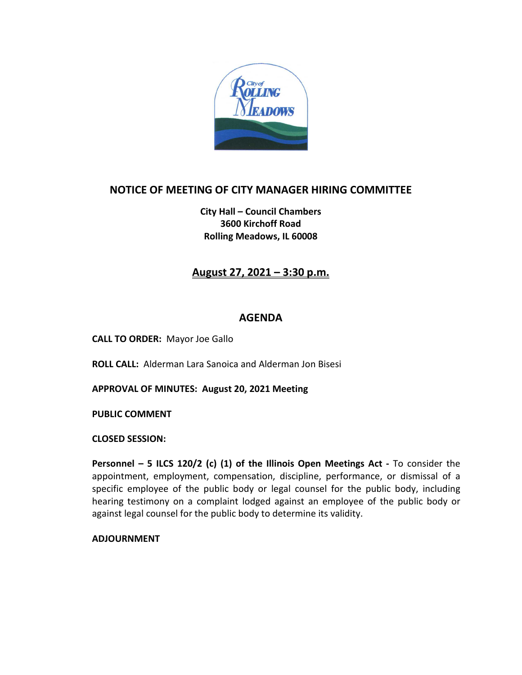

# **NOTICE OF MEETING OF CITY MANAGER HIRING COMMITTEE**

**City Hall – Council Chambers 3600 Kirchoff Road Rolling Meadows, IL 60008**

### **August 27, 2021 – 3:30 p.m.**

#### **AGENDA**

**CALL TO ORDER:** Mayor Joe Gallo

**ROLL CALL:** Alderman Lara Sanoica and Alderman Jon Bisesi

**APPROVAL OF MINUTES: August 20, 2021 Meeting**

**PUBLIC COMMENT** 

**CLOSED SESSION:**

**Personnel – 5 ILCS 120/2 (c) (1) of the Illinois Open Meetings Act -** To consider the appointment, employment, compensation, discipline, performance, or dismissal of a specific employee of the public body or legal counsel for the public body, including hearing testimony on a complaint lodged against an employee of the public body or against legal counsel for the public body to determine its validity.

**ADJOURNMENT**